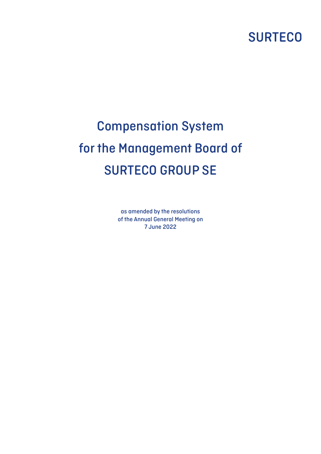# **SURTECO**

# Compensation System for the Management Board of SURTECO GROUP SE

as amended by the resolutions of the Annual General Meeting on 7 June 2022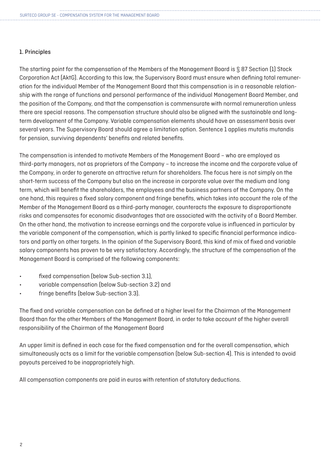# 1. Principles

The starting point for the compensation of the Members of the Management Board is § 87 Section (1) Stock Corporation Act (AktG). According to this law, the Supervisory Board must ensure when defining total remuneration for the individual Member of the Management Board that this compensation is in a reasonable relationship with the range of functions and personal performance of the individual Management Board Member, and the position of the Company, and that the compensation is commensurate with normal remuneration unless there are special reasons. The compensation structure should also be aligned with the sustainable and longterm development of the Company. Variable compensation elements should have an assessment basis over several years. The Supervisory Board should agree a limitation option. Sentence 1 applies mutatis mutandis for pension, surviving dependents' benefits and related benefits.

The compensation is intended to motivate Members of the Management Board – who are employed as third-party managers, not as proprietors of the Company – to increase the income and the corporate value of the Company, in order to generate an attractive return for shareholders. The focus here is not simply on the short-term success of the Company but also on the increase in corporate value over the medium and long term, which will benefit the shareholders, the employees and the business partners of the Company. On the one hand, this requires a fixed salary component and fringe benefits, which takes into account the role of the Member of the Management Board as a third-party manager, counteracts the exposure to disproportionate risks and compensates for economic disadvantages that are associated with the activity of a Board Member. On the other hand, the motivation to increase earnings and the corporate value is influenced in particular by the variable component of the compensation, which is partly linked to specific financial performance indicators and partly on other targets. In the opinion of the Supervisory Board, this kind of mix of fixed and variable salary components has proven to be very satisfactory. Accordingly, the structure of the compensation of the Management Board is comprised of the following components:

- fixed compensation (below Sub-section 3.1),
- variable compensation (below Sub-section 3.2) and
- fringe benefits (below Sub-section 3.3).

The fixed and variable compensation can be defined at a higher level for the Chairman of the Management Board than for the other Members of the Management Board, in order to take account of the higher overall responsibility of the Chairman of the Management Board

An upper limit is defined in each case for the fixed compensation and for the overall compensation, which simultaneously acts as a limit for the variable compensation (below Sub-section 4). This is intended to avoid payouts perceived to be inappropriately high.

All compensation components are paid in euros with retention of statutory deductions.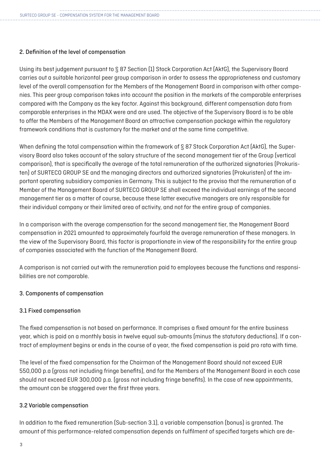# 2. Definition of the level of compensation

Using its best judgement pursuant to § 87 Section (1) Stock Corporation Act (AktG), the Supervisory Board carries out a suitable horizontal peer group comparison in order to assess the appropriateness and customary level of the overall compensation for the Members of the Management Board in comparison with other companies. This peer group comparison takes into account the position in the markets of the comparable enterprises compared with the Company as the key factor. Against this background, different compensation data from comparable enterprises in the MDAX were and are used. The objective of the Supervisory Board is to be able to offer the Members of the Management Board an attractive compensation package within the regulatory framework conditions that is customary for the market and at the same time competitive.

When defining the total compensation within the framework of § 87 Stock Corporation Act (AktG), the Supervisory Board also takes account of the salary structure of the second management tier of the Group (vertical comparison), that is specifically the average of the total remuneration of the authorized signatories (Prokuristen) of SURTECO GROUP SE and the managing directors and authorized signatories (Prokuristen) of the important operating subsidiary companies in Germany. This is subject to the proviso that the remuneration of a Member of the Management Board of SURTECO GROUP SE shall exceed the individual earnings of the second management tier as a matter of course, because these latter executive managers are only responsible for their individual company or their limited area of activity, and not for the entire group of companies.

In a comparison with the average compensation for the second management tier, the Management Board compensation in 2021 amounted to approximately fourfold the average remuneration of these managers. In the view of the Supervisory Board, this factor is proportionate in view of the responsibility for the entire group of companies associated with the function of the Management Board.

A comparison is not carried out with the remuneration paid to employees because the functions and responsibilities are not comparable.

# 3. Components of compensation

# 3.1 Fixed compensation

The fixed compensation is not based on performance. It comprises a fixed amount for the entire business year, which is paid on a monthly basis in twelve equal sub-amounts (minus the statutory deductions). If a contract of employment begins or ends in the course of a year, the fixed compensation is paid pro rata with time.

The level of the fixed compensation for the Chairman of the Management Board should not exceed EUR 550,000 p.a (gross not including fringe benefits), and for the Members of the Management Board in each case should not exceed EUR 300,000 p.a. (gross not including fringe benefits). In the case of new appointments, the amount can be staggered over the first three years.

# 3.2 Variable compensation

In addition to the fixed remuneration (Sub-section 3.1), a variable compensation (bonus) is granted. The amount of this performance-related compensation depends on fulfilment of specified targets which are de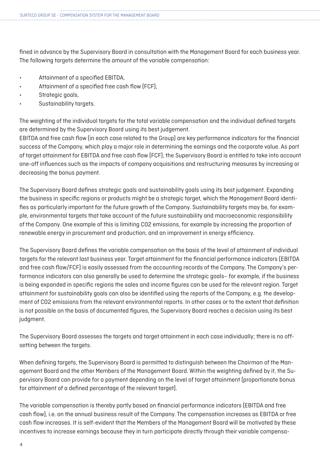fined in advance by the Supervisory Board in consultation with the Management Board for each business year. The following targets determine the amount of the variable compensation:

- Attainment of a specified EBITDA,
- Attainment of a specified free cash flow (FCF),
- Strategic goals,
- Sustainability targets.

The weighting of the individual targets for the total variable compensation and the individual defined targets are determined by the Supervisory Board using its best judgement.

EBITDA and free cash flow (in each case related to the Group) are key performance indicators for the financial success of the Company, which play a major role in determining the earnings and the corporate value. As part of target attainment for EBITDA and free cash flow (FCF), the Supervisory Board is entitled to take into account one-off influences such as the impacts of company acquisitions and restructuring measures by increasing or decreasing the bonus payment.

The Supervisory Board defines strategic goals and sustainability goals using its best judgement. Expanding the business in specific regions or products might be a strategic target, which the Management Board identifies as particularly important for the future growth of the Company. Sustainability targets may be, for example, environmental targets that take account of the future sustainability and macroeconomic responsibility of the Company. One example of this is limiting CO2 emissions, for example by increasing the proportion of renewable energy in procurement and production, and an improvement in energy efficiency.

The Supervisory Board defines the variable compensation on the basis of the level of attainment of individual targets for the relevant last business year. Target attainment for the financial performance indicators (EBITDA and free cash flow/FCF) is easily assessed from the accounting records of the Company. The Company's performance indicators can also generally be used to determine the strategic goals– for example, if the business is being expanded in specific regions the sales and income figures can be used for the relevant region. Target attainment for sustainability goals can also be identified using the reports of the Company, e.g. the development of CO2 emissions from the relevant environmental reports. In other cases or to the extent that definition is not possible on the basis of documented figures, the Supervisory Board reaches a decision using its best judgment.

The Supervisory Board assesses the targets and target attainment in each case individually; there is no offsetting between the targets.

When defining targets, the Supervisory Board is permitted to distinguish between the Chairman of the Management Board and the other Members of the Management Board. Within the weighting defined by it, the Supervisory Board can provide for a payment depending on the level of target attainment (proportionate bonus for attainment of a defined percentage of the relevant target).

The variable compensation is thereby partly based on financial performance indicators (EBITDA and free cash flow), i.e. on the annual business result of the Company. The compensation increases as EBITDA or free cash flow increases. It is self-evident that the Members of the Management Board will be motivated by these incentives to increase earnings because they in turn participate directly through their variable compensa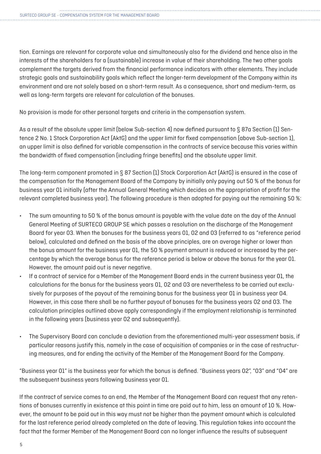tion. Earnings are relevant for corporate value and simultaneously also for the dividend and hence also in the interests of the shareholders for a (sustainable) increase in value of their shareholding. The two other goals complement the targets derived from the financial performance indicators with other elements. They include strategic goals and sustainability goals which reflect the longer-term development of the Company within its environment and are not solely based on a short-term result. As a consequence, short and medium-term, as well as long-term targets are relevant for calculation of the bonuses.

No provision is made for other personal targets and criteria in the compensation system.

As a result of the absolute upper limit (below Sub-section 4) now defined pursuant to § 87a Section (1) Sentence 2 No. 1 Stock Corporation Act (AktG) and the upper limit for fixed compensation (above Sub-section 1), an upper limit is also defined for variable compensation in the contracts of service because this varies within the bandwidth of fixed compensation (including fringe benefits) and the absolute upper limit.

The long-term component promoted in § 87 Section (1) Stock Corporation Act (AktG) is ensured in the case of the compensation for the Management Board of the Company by initially only paying out 50 % of the bonus for business year 01 initially (after the Annual General Meeting which decides on the appropriation of profit for the relevant completed business year). The following procedure is then adopted for paying out the remaining 50 %:

- The sum amounting to 50 % of the bonus amount is payable with the value date on the day of the Annual General Meeting of SURTECO GROUP SE which passes a resolution on the discharge of the Management Board for year 03. When the bonuses for the business years 01, 02 and 03 (referred to as "reference period below), calculated and defined on the basis of the above principles, are on average higher or lower than the bonus amount for the business year 01, the 50 % payment amount is reduced or increased by the percentage by which the average bonus for the reference period is below or above the bonus for the year 01. However, the amount paid out is never negative.
- If a contract of service for a Member of the Management Board ends in the current business year 01, the calculations for the bonus for the business years 01, 02 and 03 are nevertheless to be carried out exclusively for purposes of the payout of the remaining bonus for the business year 01 in business year 04. However, in this case there shall be no further payout of bonuses for the business years 02 and 03. The calculation principles outlined above apply correspondingly if the employment relationship is terminated in the following years (business year 02 and subsequently).
- The Supervisory Board can conclude a deviation from the aforementioned multi-year assessment basis, if particular reasons justify this, namely in the case of acquisition of companies or in the case of restructuring measures, and for ending the activity of the Member of the Management Board for the Company.

"Business year 01" is the business year for which the bonus is defined. "Business years 02", "03" and "04" are the subsequent business years following business year 01.

If the contract of service comes to an end, the Member of the Management Board can request that any retentions of bonuses currently in existence at this point in time are paid out to him, less an amount of 10 %. However, the amount to be paid out in this way must not be higher than the payment amount which is calculated for the last reference period already completed on the date of leaving. This regulation takes into account the fact that the former Member of the Management Board can no longer influence the results of subsequent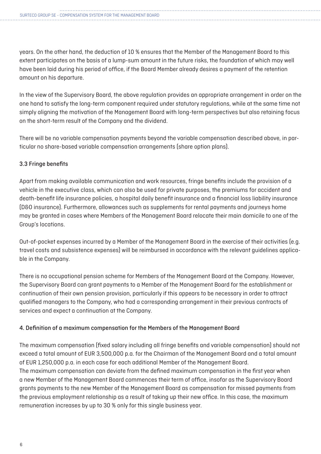years. On the other hand, the deduction of 10 % ensures that the Member of the Management Board to this extent participates on the basis of a lump-sum amount in the future risks, the foundation of which may well have been laid during his period of office, if the Board Member already desires a payment of the retention amount on his departure.

In the view of the Supervisory Board, the above regulation provides an appropriate arrangement in order on the one hand to satisfy the long-term component required under statutory regulations, while at the same time not simply aligning the motivation of the Management Board with long-term perspectives but also retaining focus on the short-term result of the Company and the dividend.

There will be no variable compensation payments beyond the variable compensation described above, in particular no share-based variable compensation arrangements (share option plans).

# 3.3 Fringe benefits

Apart from making available communication and work resources, fringe benefits include the provision of a vehicle in the executive class, which can also be used for private purposes, the premiums for accident and death-benefit life insurance policies, a hospital daily benefit insurance and a financial loss liability insurance (D&O insurance). Furthermore, allowances such as supplements for rental payments and journeys home may be granted in cases where Members of the Management Board relocate their main domicile to one of the Group's locations.

Out-of-pocket expenses incurred by a Member of the Management Board in the exercise of their activities (e.g. travel costs and subsistence expenses) will be reimbursed in accordance with the relevant guidelines applicable in the Company.

There is no occupational pension scheme for Members of the Management Board at the Company. However, the Supervisory Board can grant payments to a Member of the Management Board for the establishment or continuation of their own pension provision, particularly if this appears to be necessary in order to attract qualified managers to the Company, who had a corresponding arrangement in their previous contracts of services and expect a continuation at the Company.

# 4. Definition of a maximum compensation for the Members of the Management Board

The maximum compensation (fixed salary including all fringe benefits and variable compensation) should not exceed a total amount of EUR 3,500,000 p.a. for the Chairman of the Management Board and a total amount of EUR 1,250,000 p.a. in each case for each additional Member of the Management Board. The maximum compensation can deviate from the defined maximum compensation in the first year when a new Member of the Management Board commences their term of office, insofar as the Supervisory Board grants payments to the new Member of the Management Board as compensation for missed payments from the previous employment relationship as a result of taking up their new office. In this case, the maximum remuneration increases by up to 30 % only for this single business year.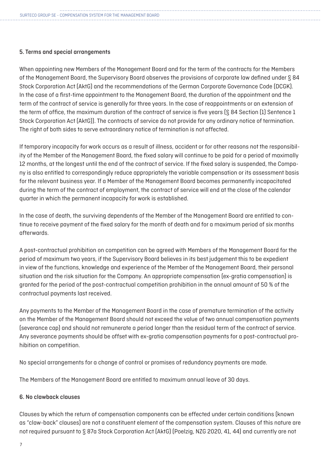# 5. Terms and special arrangements

When appointing new Members of the Management Board and for the term of the contracts for the Members of the Management Board, the Supervisory Board observes the provisions of corporate law defined under § 84 Stock Corporation Act (AktG) and the recommendations of the German Corporate Governance Code (DCGK). In the case of a first-time appointment to the Management Board, the duration of the appointment and the term of the contract of service is generally for three years. In the case of reappointments or an extension of the term of office, the maximum duration of the contract of service is five years (§ 84 Section (1) Sentence 1 Stock Corporation Act (AktG)). The contracts of service do not provide for any ordinary notice of termination. The right of both sides to serve extraordinary notice of termination is not affected.

If temporary incapacity for work occurs as a result of illness, accident or for other reasons not the responsibility of the Member of the Management Board, the fixed salary will continue to be paid for a period of maximally 12 months, at the longest until the end of the contract of service. If the fixed salary is suspended, the Company is also entitled to correspondingly reduce appropriately the variable compensation or its assessment basis for the relevant business year. If a Member of the Management Board becomes permanently incapacitated during the term of the contract of employment, the contract of service will end at the close of the calendar quarter in which the permanent incapacity for work is established.

In the case of death, the surviving dependents of the Member of the Management Board are entitled to continue to receive payment of the fixed salary for the month of death and for a maximum period of six months afterwards.

A post-contractual prohibition on competition can be agreed with Members of the Management Board for the period of maximum two years, if the Supervisory Board believes in its best judgement this to be expedient in view of the functions, knowledge and experience of the Member of the Management Board, their personal situation and the risk situation for the Company. An appropriate compensation (ex-gratia compensation) is granted for the period of the post-contractual competition prohibition in the annual amount of 50 % of the contractual payments last received.

Any payments to the Member of the Management Board in the case of premature termination of the activity on the Member of the Management Board should not exceed the value of two annual compensation payments (severance cap) and should not remunerate a period longer than the residual term of the contract of service. Any severance payments should be offset with ex-gratia compensation payments for a post-contractual prohibition on competition.

No special arrangements for a change of control or promises of redundancy payments are made.

The Members of the Management Board are entitled to maximum annual leave of 30 days.

#### 6. No clawback clauses

Clauses by which the return of compensation components can be effected under certain conditions (known as "claw-back" clauses) are not a constituent element of the compensation system. Clauses of this nature are not required pursuant to § 87a Stock Corporation Act (AktG) (Poelzig, NZG 2020, 41, 44) and currently are not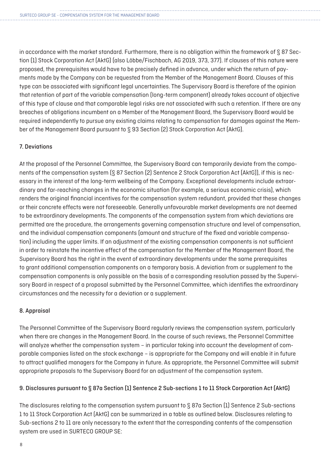in accordance with the market standard. Furthermore, there is no obligation within the framework of § 87 Section (1) Stock Corporation Act (AktG) (also Löbbe/Fischbach, AG 2019, 373, 377). If clauses of this nature were proposed, the prerequisites would have to be precisely defined in advance, under which the return of payments made by the Company can be requested from the Member of the Management Board. Clauses of this type can be associated with significant legal uncertainties. The Supervisory Board is therefore of the opinion that retention of part of the variable compensation (long-term component) already takes account of objective of this type of clause and that comparable legal risks are not associated with such a retention. If there are any breaches of obligations incumbent on a Member of the Management Board, the Supervisory Board would be required independently to pursue any existing claims relating to compensation for damages against the Member of the Management Board pursuant to § 93 Section (2) Stock Corporation Act (AktG).

# 7. Deviations

At the proposal of the Personnel Committee, the Supervisory Board can temporarily deviate from the components of the compensation system (§ 87 Section (2) Sentence 2 Stock Corporation Act (AktG)), if this is necessary in the interest of the long-term wellbeing of the Company. Exceptional developments include extraordinary and far-reaching changes in the economic situation (for example, a serious economic crisis), which renders the original financial incentives for the compensation system redundant, provided that these changes or their concrete effects were not foreseeable. Generally unfavourable market developments are not deemed to be extraordinary developments. The components of the compensation system from which deviations are permitted are the procedure, the arrangements governing compensation structure and level of compensation, and the individual compensation components (amount and structure of the fixed and variable compensation) including the upper limits. If an adjustment of the existing compensation components is not sufficient in order to reinstate the incentive effect of the compensation for the Member of the Management Board, the Supervisory Board has the right in the event of extraordinary developments under the same prerequisites to grant additional compensation components on a temporary basis. A deviation from or supplement to the compensation components is only possible on the basis of a corresponding resolution passed by the Supervisory Board in respect of a proposal submitted by the Personnel Committee, which identifies the extraordinary circumstances and the necessity for a deviation or a supplement.

# 8. Appraisal

The Personnel Committee of the Supervisory Board regularly reviews the compensation system, particularly when there are changes in the Management Board. In the course of such reviews, the Personnel Committee will analyze whether the compensation system – in particular taking into account the development of comparable companies listed on the stock exchange – is appropriate for the Company and will enable it in future to attract qualified managers for the Company in future. As appropriate, the Personnel Committee will submit appropriate proposals to the Supervisory Board for an adjustment of the compensation system.

# 9. Disclosures pursuant to § 87a Section (1) Sentence 2 Sub-sections 1 to 11 Stock Corporation Act (AktG)

The disclosures relating to the compensation system pursuant to § 87a Section (1) Sentence 2 Sub-sections 1 to 11 Stock Corporation Act (AktG) can be summarized in a table as outlined below. Disclosures relating to Sub-sections 2 to 11 are only necessary to the extent that the corresponding contents of the compensation system are used in SURTECO GROUP SE: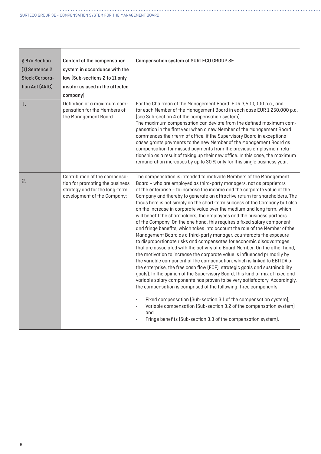| § 87a Section         | Content of the compensation                                                                                                       | Compensation system of SURTECO GROUP SE                                                                                                                                                                                                                                                                                                                                                                                                                                                                                                                                                                                                                                                                                                                                                                                                                                                                                                                                                                                                                                                                                                                                                                                                                                                                                                                                                                                                                                                                                                                                                                                                       |
|-----------------------|-----------------------------------------------------------------------------------------------------------------------------------|-----------------------------------------------------------------------------------------------------------------------------------------------------------------------------------------------------------------------------------------------------------------------------------------------------------------------------------------------------------------------------------------------------------------------------------------------------------------------------------------------------------------------------------------------------------------------------------------------------------------------------------------------------------------------------------------------------------------------------------------------------------------------------------------------------------------------------------------------------------------------------------------------------------------------------------------------------------------------------------------------------------------------------------------------------------------------------------------------------------------------------------------------------------------------------------------------------------------------------------------------------------------------------------------------------------------------------------------------------------------------------------------------------------------------------------------------------------------------------------------------------------------------------------------------------------------------------------------------------------------------------------------------|
| (1) Sentence 2        | system in accordance with the                                                                                                     |                                                                                                                                                                                                                                                                                                                                                                                                                                                                                                                                                                                                                                                                                                                                                                                                                                                                                                                                                                                                                                                                                                                                                                                                                                                                                                                                                                                                                                                                                                                                                                                                                                               |
| <b>Stock Corpora-</b> | law (Sub-sections 2 to 11 only                                                                                                    |                                                                                                                                                                                                                                                                                                                                                                                                                                                                                                                                                                                                                                                                                                                                                                                                                                                                                                                                                                                                                                                                                                                                                                                                                                                                                                                                                                                                                                                                                                                                                                                                                                               |
| tion Act (AktG)       | insofar as used in the affected                                                                                                   |                                                                                                                                                                                                                                                                                                                                                                                                                                                                                                                                                                                                                                                                                                                                                                                                                                                                                                                                                                                                                                                                                                                                                                                                                                                                                                                                                                                                                                                                                                                                                                                                                                               |
|                       | company)                                                                                                                          |                                                                                                                                                                                                                                                                                                                                                                                                                                                                                                                                                                                                                                                                                                                                                                                                                                                                                                                                                                                                                                                                                                                                                                                                                                                                                                                                                                                                                                                                                                                                                                                                                                               |
| 1.                    | Definition of a maximum com-<br>pensation for the Members of<br>the Management Board                                              | For the Chairman of the Management Board: EUR 3,500,000 p.a., and<br>for each Member of the Management Board in each case EUR 1,250,000 p.a.<br>(see Sub-section 4 of the compensation system).<br>The maximum compensation can deviate from the defined maximum com-<br>pensation in the first year when a new Member of the Management Board<br>commences their term of office, if the Supervisory Board in exceptional<br>cases grants payments to the new Member of the Management Board as<br>compensation for missed payments from the previous employment rela-<br>tionship as a result of taking up their new office. In this case, the maximum<br>remuneration increases by up to 30 % only for this single business year.                                                                                                                                                                                                                                                                                                                                                                                                                                                                                                                                                                                                                                                                                                                                                                                                                                                                                                           |
| 2.                    | Contribution of the compensa-<br>tion for promoting the business<br>strategy and for the long-term<br>development of the Company; | The compensation is intended to motivate Members of the Management<br>Board - who are employed as third-party managers, not as proprietors<br>of the enterprise - to increase the income and the corporate value of the<br>Company and thereby to generate an attractive return for shareholders. The<br>focus here is not simply on the short-term success of the Company but also<br>on the increase in corporate value over the medium and long term, which<br>will benefit the shareholders, the employees and the business partners<br>of the Company. On the one hand, this requires a fixed salary component<br>and fringe benefits, which takes into account the role of the Member of the<br>Management Board as a third-party manager, counteracts the exposure<br>to disproportionate risks and compensates for economic disadvantages<br>that are associated with the activity of a Board Member. On the other hand,<br>the motivation to increase the corporate value is influenced primarily by<br>the variable component of the compensation, which is linked to EBITDA of<br>the enterprise, the free cash flow (FCF), strategic goals and sustainability<br>goals). In the opinion of the Supervisory Board, this kind of mix of fixed and<br>variable salary components has proven to be very satisfactory. Accordingly,<br>the compensation is comprised of the following three components:<br>Fixed compensation (Sub-section 3.1 of the compensation system),<br>Variable compensation (Sub-section 3.2 of the compensation system)<br>$\bullet$<br>and<br>Fringe benefits (Sub-section 3.3 of the compensation system). |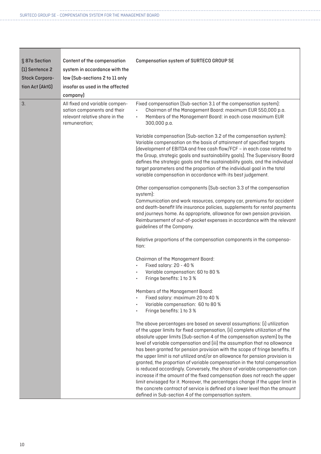| § 87a Section         | Content of the compensation                                                                                      | <b>Compensation system of SURTECO GROUP SE</b>                                                                                                                                                                                                                                                                                                                                                                                                                                                                                                                                                                                                                                                                                                                                                                                                                                                                                                     |
|-----------------------|------------------------------------------------------------------------------------------------------------------|----------------------------------------------------------------------------------------------------------------------------------------------------------------------------------------------------------------------------------------------------------------------------------------------------------------------------------------------------------------------------------------------------------------------------------------------------------------------------------------------------------------------------------------------------------------------------------------------------------------------------------------------------------------------------------------------------------------------------------------------------------------------------------------------------------------------------------------------------------------------------------------------------------------------------------------------------|
| [1] Sentence 2        | system in accordance with the                                                                                    |                                                                                                                                                                                                                                                                                                                                                                                                                                                                                                                                                                                                                                                                                                                                                                                                                                                                                                                                                    |
| <b>Stock Corpora-</b> | law (Sub-sections 2 to 11 only                                                                                   |                                                                                                                                                                                                                                                                                                                                                                                                                                                                                                                                                                                                                                                                                                                                                                                                                                                                                                                                                    |
| tion Act (AktG)       | insofar as used in the affected                                                                                  |                                                                                                                                                                                                                                                                                                                                                                                                                                                                                                                                                                                                                                                                                                                                                                                                                                                                                                                                                    |
|                       | company)                                                                                                         |                                                                                                                                                                                                                                                                                                                                                                                                                                                                                                                                                                                                                                                                                                                                                                                                                                                                                                                                                    |
| 3.                    | All fixed and variable compen-<br>sation components and their<br>relevant relative share in the<br>remuneration; | Fixed compensation (Sub-section 3.1 of the compensation system):<br>Chairman of the Management Board: maximum EUR 550,000 p.a.<br>Members of the Management Board: in each case maximum EUR<br>300,000 p.a.                                                                                                                                                                                                                                                                                                                                                                                                                                                                                                                                                                                                                                                                                                                                        |
|                       |                                                                                                                  | Variable compensation (Sub-section 3.2 of the compensation system):<br>Variable compensation on the basis of attainment of specified targets<br>(development of EBITDA and free cash flow/FCF - in each case related to<br>the Group, strategic goals and sustainability goals). The Supervisory Board<br>defines the strategic goals and the sustainability goals, and the individual<br>target parameters and the proportion of the individual goal in the total<br>variable compensation in accordance with its best judgement.                                                                                                                                                                                                                                                                                                                                                                                                                 |
|                       |                                                                                                                  | Other compensation components (Sub-section 3.3 of the compensation<br>system):<br>Communication and work resources, company car, premiums for accident<br>and death-benefit life insurance policies, supplements for rental payments<br>and journeys home. As appropriate, allowance for own pension provision.<br>Reimbursement of out-of-pocket expenses in accordance with the relevant<br>guidelines of the Company.                                                                                                                                                                                                                                                                                                                                                                                                                                                                                                                           |
|                       |                                                                                                                  | Relative proportions of the compensation components in the compensa-<br>tion:                                                                                                                                                                                                                                                                                                                                                                                                                                                                                                                                                                                                                                                                                                                                                                                                                                                                      |
|                       |                                                                                                                  | Chairman of the Management Board:                                                                                                                                                                                                                                                                                                                                                                                                                                                                                                                                                                                                                                                                                                                                                                                                                                                                                                                  |
|                       |                                                                                                                  | Fixed salary: 20 - 40 %<br>Variable compensation: 60 to 80 %<br>Fringe benefits: 1 to 3 %                                                                                                                                                                                                                                                                                                                                                                                                                                                                                                                                                                                                                                                                                                                                                                                                                                                          |
|                       |                                                                                                                  | Members of the Management Board:<br>Fixed salary: maximum 20 to 40 %<br>Variable compensation: 60 to 80 %<br>Fringe benefits: 1 to 3 %                                                                                                                                                                                                                                                                                                                                                                                                                                                                                                                                                                                                                                                                                                                                                                                                             |
|                       |                                                                                                                  | The above percentages are based on several assumptions: (i) utilization<br>of the upper limits for fixed compensation, (ii) complete utilization of the<br>absolute upper limits (Sub-section 4 of the compensation system) by the<br>level of variable compensation and (iii) the assumption that no allowance<br>has been granted for pension provision with the scope of fringe benefits. If<br>the upper limit is not utilized and/or an allowance for pension provision is<br>granted, the proportion of variable compensation in the total compensation<br>is reduced accordingly. Conversely, the share of variable compensation can<br>increase if the amount of the fixed compensation does not reach the upper<br>limit envisaged for it. Moreover, the percentages change if the upper limit in<br>the concrete contract of service is defined at a lower level than the amount<br>defined in Sub-section 4 of the compensation system. |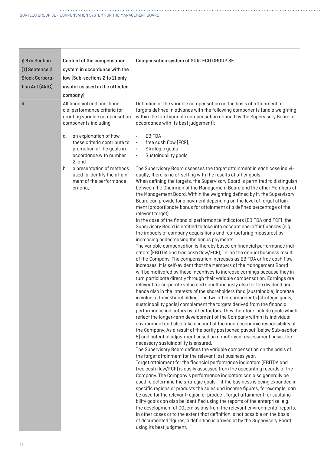| ATION SYSTEM FOR THE MANAGEMENT BOARI |  |  |
|---------------------------------------|--|--|
|---------------------------------------|--|--|

| § 87a Section         | Content of the compensation                                                                                        | <b>Compensation system of SURTECO GROUP SE</b>                                                                                                                                                                                                                                                                                                                                                                                                                                                                                                                                                                                                                                                                                                                                                                                                                                                                                                                                                                                                                                                                                                                                                                                                                                                                                                                                                                                                                                                                                                                                                                                                                                                                                                                                                                                                                                                                                                                                                                                                                                                                                                                                                                                                                                                                                                                                                                                                                                                                                                                                                                                                                                                                                                                                                                                                                                                                                                                                                                                                                                      |
|-----------------------|--------------------------------------------------------------------------------------------------------------------|-------------------------------------------------------------------------------------------------------------------------------------------------------------------------------------------------------------------------------------------------------------------------------------------------------------------------------------------------------------------------------------------------------------------------------------------------------------------------------------------------------------------------------------------------------------------------------------------------------------------------------------------------------------------------------------------------------------------------------------------------------------------------------------------------------------------------------------------------------------------------------------------------------------------------------------------------------------------------------------------------------------------------------------------------------------------------------------------------------------------------------------------------------------------------------------------------------------------------------------------------------------------------------------------------------------------------------------------------------------------------------------------------------------------------------------------------------------------------------------------------------------------------------------------------------------------------------------------------------------------------------------------------------------------------------------------------------------------------------------------------------------------------------------------------------------------------------------------------------------------------------------------------------------------------------------------------------------------------------------------------------------------------------------------------------------------------------------------------------------------------------------------------------------------------------------------------------------------------------------------------------------------------------------------------------------------------------------------------------------------------------------------------------------------------------------------------------------------------------------------------------------------------------------------------------------------------------------------------------------------------------------------------------------------------------------------------------------------------------------------------------------------------------------------------------------------------------------------------------------------------------------------------------------------------------------------------------------------------------------------------------------------------------------------------------------------------------------|
| [1] Sentence 2        | system in accordance with the                                                                                      |                                                                                                                                                                                                                                                                                                                                                                                                                                                                                                                                                                                                                                                                                                                                                                                                                                                                                                                                                                                                                                                                                                                                                                                                                                                                                                                                                                                                                                                                                                                                                                                                                                                                                                                                                                                                                                                                                                                                                                                                                                                                                                                                                                                                                                                                                                                                                                                                                                                                                                                                                                                                                                                                                                                                                                                                                                                                                                                                                                                                                                                                                     |
| <b>Stock Corpora-</b> | law (Sub-sections 2 to 11 only                                                                                     |                                                                                                                                                                                                                                                                                                                                                                                                                                                                                                                                                                                                                                                                                                                                                                                                                                                                                                                                                                                                                                                                                                                                                                                                                                                                                                                                                                                                                                                                                                                                                                                                                                                                                                                                                                                                                                                                                                                                                                                                                                                                                                                                                                                                                                                                                                                                                                                                                                                                                                                                                                                                                                                                                                                                                                                                                                                                                                                                                                                                                                                                                     |
| tion Act (AktG)       | insofar as used in the affected                                                                                    |                                                                                                                                                                                                                                                                                                                                                                                                                                                                                                                                                                                                                                                                                                                                                                                                                                                                                                                                                                                                                                                                                                                                                                                                                                                                                                                                                                                                                                                                                                                                                                                                                                                                                                                                                                                                                                                                                                                                                                                                                                                                                                                                                                                                                                                                                                                                                                                                                                                                                                                                                                                                                                                                                                                                                                                                                                                                                                                                                                                                                                                                                     |
|                       | company)                                                                                                           |                                                                                                                                                                                                                                                                                                                                                                                                                                                                                                                                                                                                                                                                                                                                                                                                                                                                                                                                                                                                                                                                                                                                                                                                                                                                                                                                                                                                                                                                                                                                                                                                                                                                                                                                                                                                                                                                                                                                                                                                                                                                                                                                                                                                                                                                                                                                                                                                                                                                                                                                                                                                                                                                                                                                                                                                                                                                                                                                                                                                                                                                                     |
| $\overline{4}$ .      | All financial and non-finan-<br>cial performance criteria for<br>granting variable compensation                    | Definition of the variable compensation on the basis of attainment of<br>targets defined in advance with the following components (and a weighting<br>within the total variable compensation defined by the Supervisory Board in                                                                                                                                                                                                                                                                                                                                                                                                                                                                                                                                                                                                                                                                                                                                                                                                                                                                                                                                                                                                                                                                                                                                                                                                                                                                                                                                                                                                                                                                                                                                                                                                                                                                                                                                                                                                                                                                                                                                                                                                                                                                                                                                                                                                                                                                                                                                                                                                                                                                                                                                                                                                                                                                                                                                                                                                                                                    |
|                       | components including                                                                                               | accordance with its best judgement):                                                                                                                                                                                                                                                                                                                                                                                                                                                                                                                                                                                                                                                                                                                                                                                                                                                                                                                                                                                                                                                                                                                                                                                                                                                                                                                                                                                                                                                                                                                                                                                                                                                                                                                                                                                                                                                                                                                                                                                                                                                                                                                                                                                                                                                                                                                                                                                                                                                                                                                                                                                                                                                                                                                                                                                                                                                                                                                                                                                                                                                |
|                       | an explanation of how<br>α.<br>these criteria contribute to<br>promotion of the goals in<br>accordance with number | <b>EBITDA</b><br>$\bullet$<br>free cash flow (FCF),<br>$\bullet$<br>Strategic goals<br>$\bullet$<br>Sustainability goals.<br>$\bullet$                                                                                                                                                                                                                                                                                                                                                                                                                                                                                                                                                                                                                                                                                                                                                                                                                                                                                                                                                                                                                                                                                                                                                                                                                                                                                                                                                                                                                                                                                                                                                                                                                                                                                                                                                                                                                                                                                                                                                                                                                                                                                                                                                                                                                                                                                                                                                                                                                                                                                                                                                                                                                                                                                                                                                                                                                                                                                                                                              |
|                       | 2, and<br>a presentation of methods<br>b.<br>used to identify the attain-<br>ment of the performance<br>criteria;  | The Supervisory Board assesses the target attainment in each case indivi-<br>dually; there is no offsetting with the results of other goals.<br>When defining the targets, the Supervisory Board is permitted to distinguish<br>between the Chairman of the Management Board and the other Members of<br>the Management Board. Within the weighting defined by it, the Supervisory<br>Board can provide for a payment depending on the level of target attain-<br>ment (proportionate bonus for attainment of a defined percentage of the<br>relevant target).<br>In the case of the financial performance indicators (EBITDA and FCF), the<br>Supervisory Board is entitled to take into account one-off influences (e.g.<br>the impacts of company acquisitions and restructuring measures) by<br>increasing or decreasing the bonus payments.<br>The variable compensation is thereby based on financial performance indi-<br>cators (EBITDA and free cash flow/FCF), i.e. on the annual business result<br>of the Company. The compensation increases as EBITDA or free cash flow<br>increases. It is self-evident that the Members of the Management Board<br>will be motivated by these incentives to increase earnings because they in<br>turn participate directly through their variable compensation. Earnings are<br>relevant for corporate value and simultaneously also for the dividend and<br>hence also in the interests of the shareholders for a (sustainable) increase<br>in value of their shareholding. The two other components (strategic goals,<br>sustainability goals) complement the targets derived from the financial<br>performance indicators by other factors. They therefore include goals which<br>reflect the longer-term development of the Company within its individual<br>environment and also take account of the macroeconomic responsibility of<br>the Company. As a result of the partly postponed payout (below Sub-section<br>5) and potential adjustment based on a multi-year assessment basis, the<br>necessary sustainability is ensured.<br>The Supervisory Board defines the variable compensation on the basis of<br>the target attainment for the relevant last business year.<br>Target attainment for the financial performance indicators (EBITDA and<br>free cash flow/FCF) is easily assessed from the accounting records of the<br>Company. The Company's performance indicators can also generally be<br>used to determine the strategic goals - if the business is being expanded in<br>specific regions or products the sales and income figures, for example, can<br>be used for the relevant region or product. Target attainment for sustaina-<br>bility goals can also be identified using the reports of the enterprise, e.g.<br>the development of CO <sub>2</sub> emissions from the relevant environmental reports.<br>In other cases or to the extent that definition is not possible on the basis<br>of documented figures, a definition is arrived at by the Supervisory Board<br>using its best judgment. |

ヿ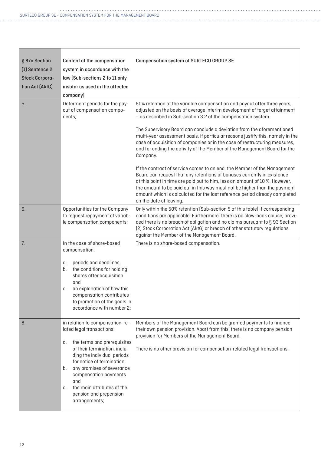| § 87a Section<br>(1) Sentence 2<br><b>Stock Corpora-</b><br>tion Act (AktG)<br>5. | Content of the compensation<br>system in accordance with the<br>law (Sub-sections 2 to 11 only<br>insofar as used in the affected<br>company)<br>Deferment periods for the pay-<br>out of compensation compo-<br>nents;                                                                                                                          | <b>Compensation system of SURTECO GROUP SE</b><br>50% retention of the variable compensation and payout after three years,<br>adjusted on the basis of average interim development of target attainment<br>- as described in Sub-section 3.2 of the compensation system.<br>The Supervisory Board can conclude a deviation from the aforementioned<br>multi-year assessment basis, if particular reasons justify this, namely in the<br>case of acquisition of companies or in the case of restructuring measures, |
|-----------------------------------------------------------------------------------|--------------------------------------------------------------------------------------------------------------------------------------------------------------------------------------------------------------------------------------------------------------------------------------------------------------------------------------------------|--------------------------------------------------------------------------------------------------------------------------------------------------------------------------------------------------------------------------------------------------------------------------------------------------------------------------------------------------------------------------------------------------------------------------------------------------------------------------------------------------------------------|
|                                                                                   |                                                                                                                                                                                                                                                                                                                                                  | and for ending the activity of the Member of the Management Board for the<br>Company.<br>If the contract of service comes to an end, the Member of the Management<br>Board can request that any retentions of bonuses currently in existence<br>at this point in time are paid out to him, less an amount of 10 %. However,<br>the amount to be paid out in this way must not be higher than the payment<br>amount which is calculated for the last reference period already completed<br>on the date of leaving.  |
| 6.                                                                                | Opportunities for the Company<br>to request repayment of variab-<br>le compensation components;                                                                                                                                                                                                                                                  | Only within the 50% retention (Sub-section 5 of this table) if corresponding<br>conditions are applicable. Furthermore, there is no claw-back clause, provi-<br>ded there is no breach of obligation and no claims pursuant to § 93 Section<br>[2] Stock Corporation Act (AktG) or breach of other statutory regulations<br>against the Member of the Management Board.                                                                                                                                            |
| 7.                                                                                | In the case of share-based<br>compensation:<br>periods and deadlines,<br>α.<br>the conditions for holding<br>b.<br>shares after acquisition<br>and<br>an explanation of how this<br>C.<br>compensation contributes<br>to promotion of the goals in<br>accordance with number 2;                                                                  | There is no share-based compensation.                                                                                                                                                                                                                                                                                                                                                                                                                                                                              |
| 8.                                                                                | in relation to compensation-re-<br>lated legal transactions:<br>the terms and prerequisites<br>α.<br>of their termination, inclu-<br>ding the individual periods<br>for notice of termination,<br>any promises of severance<br>b.<br>compensation payments<br>and<br>the main attributes of the<br>C.<br>pension and prepension<br>arrangements; | Members of the Management Board can be granted payments to finance<br>their own pension provision. Apart from this, there is no company pension<br>provision for Members of the Management Board.<br>There is no other provision for compensation-related legal transactions.                                                                                                                                                                                                                                      |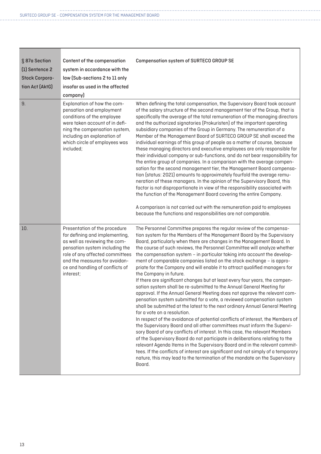×

| ISAHUN SYSTEM FUR THE MANAGEMENT BUARI |
|----------------------------------------|
|----------------------------------------|

| § 87a Section<br>(1) Sentence 2<br><b>Stock Corpora-</b><br>tion Act (AktG)<br>9. | Content of the compensation<br>system in accordance with the<br>law (Sub-sections 2 to 11 only<br>insofar as used in the affected<br>company)<br>Explanation of how the com-<br>pensation and employment<br>conditions of the employee<br>were taken account of in defi-<br>ning the compensation system,<br>including an explanation of<br>which circle of employees was<br>included; | <b>Compensation system of SURTECO GROUP SE</b><br>When defining the total compensation, the Supervisory Board took account<br>of the salary structure of the second management tier of the Group, that is<br>specifically the average of the total remuneration of the managing directors<br>and the authorized signatories (Prokuristen) of the important operating<br>subsidiary companies of the Group in Germany. The remuneration of a<br>Member of the Management Board of SURTECO GROUP SE shall exceed the<br>individual earnings of this group of people as a matter of course, because<br>these managing directors and executive employees are only responsible for<br>their individual company or sub-functions, and do not bear responsibility for<br>the entire group of companies. In a comparison with the average compen-                                                                                                                                                                                                                                                                                                                                                                                                                                                                                                                                                                                                                                                                                                                                              |
|-----------------------------------------------------------------------------------|----------------------------------------------------------------------------------------------------------------------------------------------------------------------------------------------------------------------------------------------------------------------------------------------------------------------------------------------------------------------------------------|----------------------------------------------------------------------------------------------------------------------------------------------------------------------------------------------------------------------------------------------------------------------------------------------------------------------------------------------------------------------------------------------------------------------------------------------------------------------------------------------------------------------------------------------------------------------------------------------------------------------------------------------------------------------------------------------------------------------------------------------------------------------------------------------------------------------------------------------------------------------------------------------------------------------------------------------------------------------------------------------------------------------------------------------------------------------------------------------------------------------------------------------------------------------------------------------------------------------------------------------------------------------------------------------------------------------------------------------------------------------------------------------------------------------------------------------------------------------------------------------------------------------------------------------------------------------------------------|
|                                                                                   |                                                                                                                                                                                                                                                                                                                                                                                        | sation for the second management tier, the Management Board compensa-<br>tion (status: 2021) amounts to approximately fourfold the average remu-<br>neration of these managers. In the opinion of the Supervisory Board, this<br>factor is not disproportionate in view of the responsibility associated with<br>the function of the Management Board covering the entire Company.<br>A comparison is not carried out with the remuneration paid to employees<br>because the functions and responsibilities are not comparable.                                                                                                                                                                                                                                                                                                                                                                                                                                                                                                                                                                                                                                                                                                                                                                                                                                                                                                                                                                                                                                                        |
| 10.                                                                               | Presentation of the procedure<br>for defining and implementing,<br>as well as reviewing the com-<br>pensation system including the<br>role of any affected committees<br>and the measures for avoidan-<br>ce and handling of conflicts of<br>interest;                                                                                                                                 | The Personnel Committee prepares the regular review of the compensa-<br>tion system for the Members of the Management Board by the Supervisory<br>Board, particularly when there are changes in the Management Board. In<br>the course of such reviews, the Personnel Committee will analyze whether<br>the compensation system - in particular taking into account the develop-<br>ment of comparable companies listed on the stock exchange - is appro-<br>priate for the Company and will enable it to attract qualified managers for<br>the Company in future.<br>If there are significant changes but at least every four years, the compen-<br>sation system shall be re-submitted to the Annual General Meeting for<br>approval. If the Annual General Meeting does not approve the relevant com-<br>pensation system submitted for a vote, a reviewed compensation system<br>shall be submitted at the latest to the next ordinary Annual General Meeting<br>for a vote on a resolution.<br>In respect of the avoidance of potential conflicts of interest, the Members of<br>the Supervisory Board and all other committees must inform the Supervi-<br>sory Board of any conflicts of interest. In this case, the relevant Members<br>of the Supervisory Board do not participate in deliberations relating to the<br>relevant Agenda Items in the Supervisory Board and in the relevant commit-<br>tees. If the conflicts of interest are significant and not simply of a temporary<br>nature, this may lead to the termination of the mandate on the Supervisory<br>Board. |